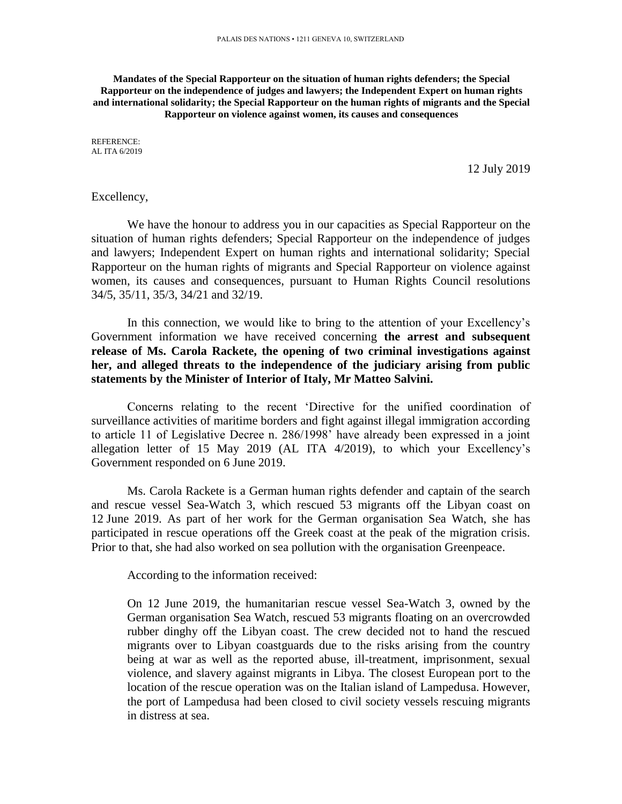**Mandates of the Special Rapporteur on the situation of human rights defenders; the Special Rapporteur on the independence of judges and lawyers; the Independent Expert on human rights and international solidarity; the Special Rapporteur on the human rights of migrants and the Special Rapporteur on violence against women, its causes and consequences**

REFERENCE: AL ITA 6/2019

12 July 2019

## Excellency,

We have the honour to address you in our capacities as Special Rapporteur on the situation of human rights defenders; Special Rapporteur on the independence of judges and lawyers; Independent Expert on human rights and international solidarity; Special Rapporteur on the human rights of migrants and Special Rapporteur on violence against women, its causes and consequences, pursuant to Human Rights Council resolutions 34/5, 35/11, 35/3, 34/21 and 32/19.

In this connection, we would like to bring to the attention of your Excellency's Government information we have received concerning **the arrest and subsequent release of Ms. Carola Rackete, the opening of two criminal investigations against her, and alleged threats to the independence of the judiciary arising from public statements by the Minister of Interior of Italy, Mr Matteo Salvini.**

Concerns relating to the recent 'Directive for the unified coordination of surveillance activities of maritime borders and fight against illegal immigration according to article 11 of Legislative Decree n. 286/1998' have already been expressed in a joint allegation letter of 15 May 2019 (AL ITA 4/2019), to which your Excellency's Government responded on 6 June 2019.

Ms. Carola Rackete is a German human rights defender and captain of the search and rescue vessel Sea-Watch 3, which rescued 53 migrants off the Libyan coast on 12 June 2019. As part of her work for the German organisation Sea Watch, she has participated in rescue operations off the Greek coast at the peak of the migration crisis. Prior to that, she had also worked on sea pollution with the organisation Greenpeace.

According to the information received:

On 12 June 2019, the humanitarian rescue vessel Sea-Watch 3, owned by the German organisation Sea Watch, rescued 53 migrants floating on an overcrowded rubber dinghy off the Libyan coast. The crew decided not to hand the rescued migrants over to Libyan coastguards due to the risks arising from the country being at war as well as the reported abuse, ill-treatment, imprisonment, sexual violence, and slavery against migrants in Libya. The closest European port to the location of the rescue operation was on the Italian island of Lampedusa. However, the port of Lampedusa had been closed to civil society vessels rescuing migrants in distress at sea.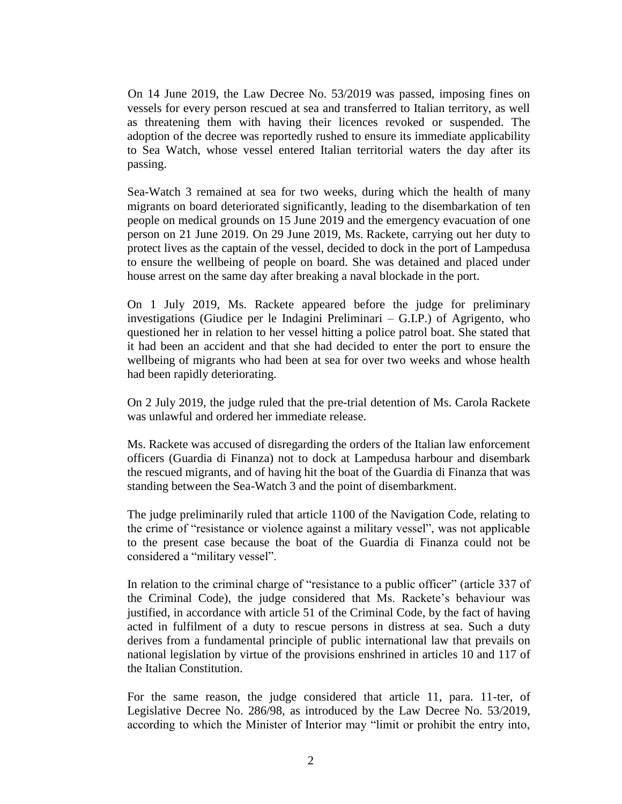On 14 June 2019, the Law Decree No. 53/2019 was passed, imposing fines on vessels for every person rescued at sea and transferred to Italian territory, as well as threatening them with having their licences revoked or suspended. The adoption of the decree was reportedly rushed to ensure its immediate applicability to Sea Watch, whose vessel entered Italian territorial waters the day after its passing.

Sea-Watch 3 remained at sea for two weeks, during which the health of many migrants on board deteriorated significantly, leading to the disembarkation of ten people on medical grounds on 15 June 2019 and the emergency evacuation of one person on 21 June 2019. On 29 June 2019, Ms. Rackete, carrying out her duty to protect lives as the captain of the vessel, decided to dock in the port of Lampedusa to ensure the wellbeing of people on board. She was detained and placed under house arrest on the same day after breaking a naval blockade in the port.

On 1 July 2019, Ms. Rackete appeared before the judge for preliminary investigations (Giudice per le Indagini Preliminari – G.I.P.) of Agrigento, who questioned her in relation to her vessel hitting a police patrol boat. She stated that it had been an accident and that she had decided to enter the port to ensure the wellbeing of migrants who had been at sea for over two weeks and whose health had been rapidly deteriorating.

On 2 July 2019, the judge ruled that the pre-trial detention of Ms. Carola Rackete was unlawful and ordered her immediate release.

Ms. Rackete was accused of disregarding the orders of the Italian law enforcement officers (Guardia di Finanza) not to dock at Lampedusa harbour and disembark the rescued migrants, and of having hit the boat of the Guardia di Finanza that was standing between the Sea-Watch 3 and the point of disembarkment.

The judge preliminarily ruled that article 1100 of the Navigation Code, relating to the crime of "resistance or violence against a military vessel", was not applicable to the present case because the boat of the Guardia di Finanza could not be considered a "military vessel".

In relation to the criminal charge of "resistance to a public officer" (article 337 of the Criminal Code), the judge considered that Ms. Rackete's behaviour was justified, in accordance with article 51 of the Criminal Code, by the fact of having acted in fulfilment of a duty to rescue persons in distress at sea. Such a duty derives from a fundamental principle of public international law that prevails on national legislation by virtue of the provisions enshrined in articles 10 and 117 of the Italian Constitution.

For the same reason, the judge considered that article 11, para. 11-ter, of Legislative Decree No. 286/98, as introduced by the Law Decree No. 53/2019, according to which the Minister of Interior may "limit or prohibit the entry into,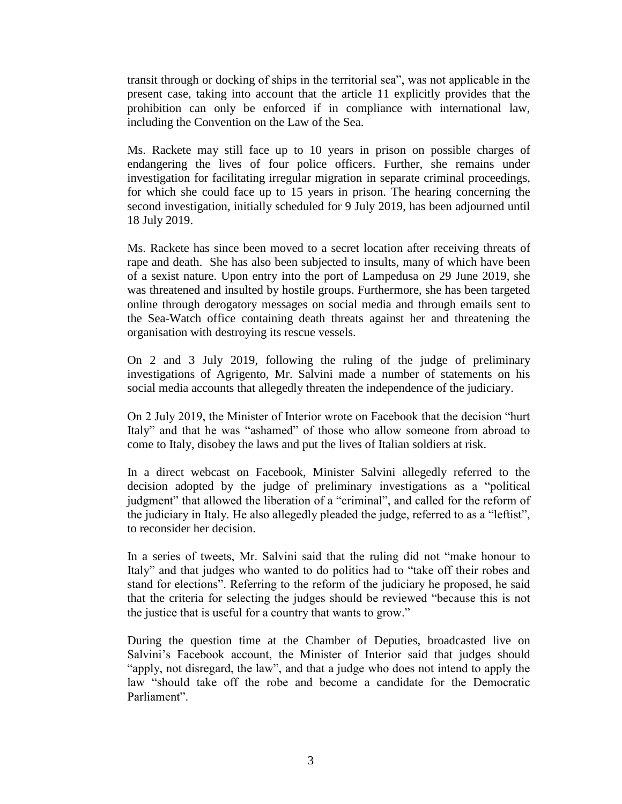transit through or docking of ships in the territorial sea", was not applicable in the present case, taking into account that the article 11 explicitly provides that the prohibition can only be enforced if in compliance with international law, including the Convention on the Law of the Sea.

Ms. Rackete may still face up to 10 years in prison on possible charges of endangering the lives of four police officers. Further, she remains under investigation for facilitating irregular migration in separate criminal proceedings, for which she could face up to 15 years in prison. The hearing concerning the second investigation, initially scheduled for 9 July 2019, has been adjourned until 18 July 2019.

Ms. Rackete has since been moved to a secret location after receiving threats of rape and death. She has also been subjected to insults, many of which have been of a sexist nature. Upon entry into the port of Lampedusa on 29 June 2019, she was threatened and insulted by hostile groups. Furthermore, she has been targeted online through derogatory messages on social media and through emails sent to the Sea-Watch office containing death threats against her and threatening the organisation with destroying its rescue vessels.

On 2 and 3 July 2019, following the ruling of the judge of preliminary investigations of Agrigento, Mr. Salvini made a number of statements on his social media accounts that allegedly threaten the independence of the judiciary.

On 2 July 2019, the Minister of Interior wrote on Facebook that the decision "hurt Italy" and that he was "ashamed" of those who allow someone from abroad to come to Italy, disobey the laws and put the lives of Italian soldiers at risk.

In a direct webcast on Facebook, Minister Salvini allegedly referred to the decision adopted by the judge of preliminary investigations as a "political judgment" that allowed the liberation of a "criminal", and called for the reform of the judiciary in Italy. He also allegedly pleaded the judge, referred to as a "leftist", to reconsider her decision.

In a series of tweets, Mr. Salvini said that the ruling did not "make honour to Italy" and that judges who wanted to do politics had to "take off their robes and stand for elections". Referring to the reform of the judiciary he proposed, he said that the criteria for selecting the judges should be reviewed "because this is not the justice that is useful for a country that wants to grow."

During the question time at the Chamber of Deputies, broadcasted live on Salvini's Facebook account, the Minister of Interior said that judges should "apply, not disregard, the law", and that a judge who does not intend to apply the law "should take off the robe and become a candidate for the Democratic Parliament".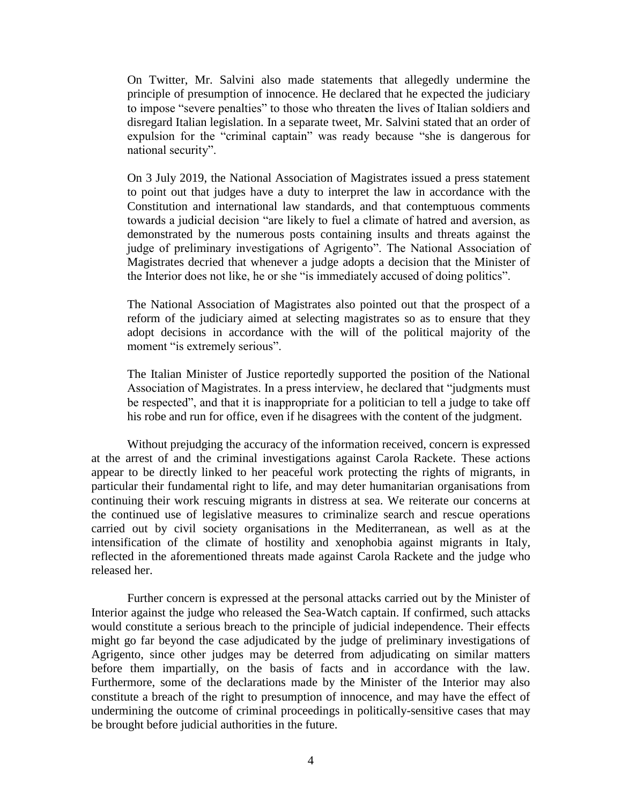On Twitter, Mr. Salvini also made statements that allegedly undermine the principle of presumption of innocence. He declared that he expected the judiciary to impose "severe penalties" to those who threaten the lives of Italian soldiers and disregard Italian legislation. In a separate tweet, Mr. Salvini stated that an order of expulsion for the "criminal captain" was ready because "she is dangerous for national security".

On 3 July 2019, the National Association of Magistrates issued a press statement to point out that judges have a duty to interpret the law in accordance with the Constitution and international law standards, and that contemptuous comments towards a judicial decision "are likely to fuel a climate of hatred and aversion, as demonstrated by the numerous posts containing insults and threats against the judge of preliminary investigations of Agrigento". The National Association of Magistrates decried that whenever a judge adopts a decision that the Minister of the Interior does not like, he or she "is immediately accused of doing politics".

The National Association of Magistrates also pointed out that the prospect of a reform of the judiciary aimed at selecting magistrates so as to ensure that they adopt decisions in accordance with the will of the political majority of the moment "is extremely serious".

The Italian Minister of Justice reportedly supported the position of the National Association of Magistrates. In a press interview, he declared that "judgments must be respected", and that it is inappropriate for a politician to tell a judge to take off his robe and run for office, even if he disagrees with the content of the judgment.

Without prejudging the accuracy of the information received, concern is expressed at the arrest of and the criminal investigations against Carola Rackete. These actions appear to be directly linked to her peaceful work protecting the rights of migrants, in particular their fundamental right to life, and may deter humanitarian organisations from continuing their work rescuing migrants in distress at sea. We reiterate our concerns at the continued use of legislative measures to criminalize search and rescue operations carried out by civil society organisations in the Mediterranean, as well as at the intensification of the climate of hostility and xenophobia against migrants in Italy, reflected in the aforementioned threats made against Carola Rackete and the judge who released her.

Further concern is expressed at the personal attacks carried out by the Minister of Interior against the judge who released the Sea-Watch captain. If confirmed, such attacks would constitute a serious breach to the principle of judicial independence. Their effects might go far beyond the case adjudicated by the judge of preliminary investigations of Agrigento, since other judges may be deterred from adjudicating on similar matters before them impartially, on the basis of facts and in accordance with the law. Furthermore, some of the declarations made by the Minister of the Interior may also constitute a breach of the right to presumption of innocence, and may have the effect of undermining the outcome of criminal proceedings in politically-sensitive cases that may be brought before judicial authorities in the future.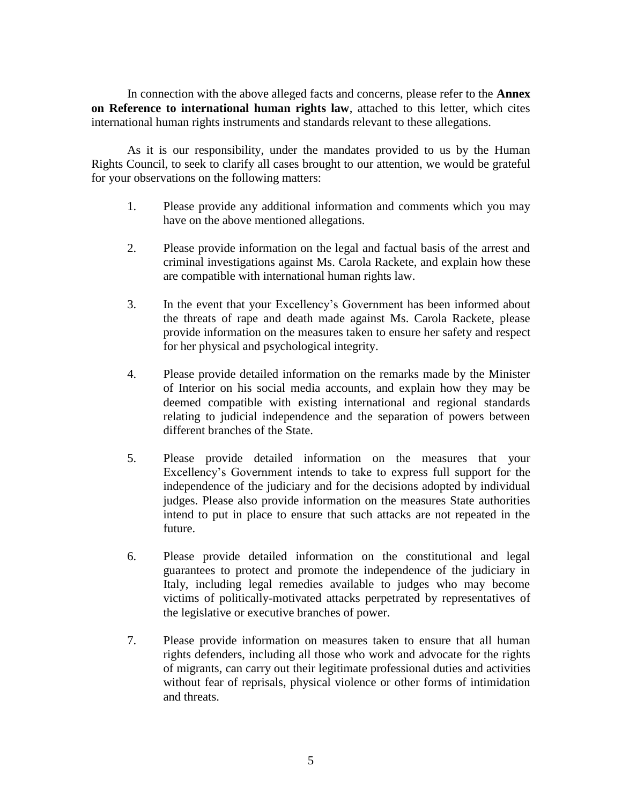In connection with the above alleged facts and concerns, please refer to the **Annex on Reference to international human rights law**, attached to this letter, which cites international human rights instruments and standards relevant to these allegations.

As it is our responsibility, under the mandates provided to us by the Human Rights Council, to seek to clarify all cases brought to our attention, we would be grateful for your observations on the following matters:

- 1. Please provide any additional information and comments which you may have on the above mentioned allegations.
- 2. Please provide information on the legal and factual basis of the arrest and criminal investigations against Ms. Carola Rackete, and explain how these are compatible with international human rights law.
- 3. In the event that your Excellency's Government has been informed about the threats of rape and death made against Ms. Carola Rackete, please provide information on the measures taken to ensure her safety and respect for her physical and psychological integrity.
- 4. Please provide detailed information on the remarks made by the Minister of Interior on his social media accounts, and explain how they may be deemed compatible with existing international and regional standards relating to judicial independence and the separation of powers between different branches of the State.
- 5. Please provide detailed information on the measures that your Excellency's Government intends to take to express full support for the independence of the judiciary and for the decisions adopted by individual judges. Please also provide information on the measures State authorities intend to put in place to ensure that such attacks are not repeated in the future.
- 6. Please provide detailed information on the constitutional and legal guarantees to protect and promote the independence of the judiciary in Italy, including legal remedies available to judges who may become victims of politically-motivated attacks perpetrated by representatives of the legislative or executive branches of power.
- 7. Please provide information on measures taken to ensure that all human rights defenders, including all those who work and advocate for the rights of migrants, can carry out their legitimate professional duties and activities without fear of reprisals, physical violence or other forms of intimidation and threats.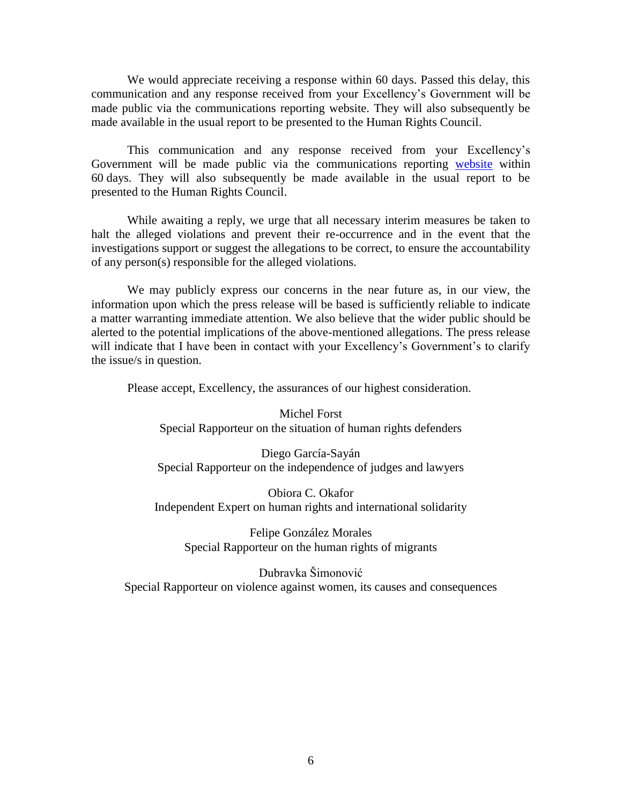We would appreciate receiving a response within 60 days. Passed this delay, this communication and any response received from your Excellency's Government will be made public via the communications reporting website. They will also subsequently be made available in the usual report to be presented to the Human Rights Council.

This communication and any response received from your Excellency's Government will be made public via the communications reporting [website](https://spcommreports.ohchr.org/) within 60 days. They will also subsequently be made available in the usual report to be presented to the Human Rights Council.

While awaiting a reply, we urge that all necessary interim measures be taken to halt the alleged violations and prevent their re-occurrence and in the event that the investigations support or suggest the allegations to be correct, to ensure the accountability of any person(s) responsible for the alleged violations.

We may publicly express our concerns in the near future as, in our view, the information upon which the press release will be based is sufficiently reliable to indicate a matter warranting immediate attention. We also believe that the wider public should be alerted to the potential implications of the above-mentioned allegations. The press release will indicate that I have been in contact with your Excellency's Government's to clarify the issue/s in question.

Please accept, Excellency, the assurances of our highest consideration.

Michel Forst Special Rapporteur on the situation of human rights defenders

Diego García-Sayán Special Rapporteur on the independence of judges and lawyers

Obiora C. Okafor Independent Expert on human rights and international solidarity

Felipe González Morales Special Rapporteur on the human rights of migrants

Dubravka Šimonović Special Rapporteur on violence against women, its causes and consequences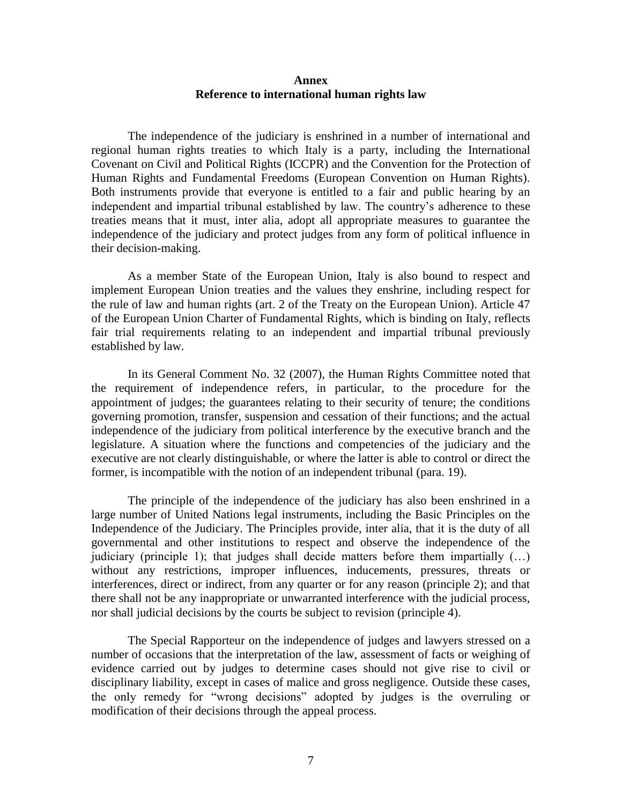## **Annex Reference to international human rights law**

The independence of the judiciary is enshrined in a number of international and regional human rights treaties to which Italy is a party, including the International Covenant on Civil and Political Rights (ICCPR) and the Convention for the Protection of Human Rights and Fundamental Freedoms (European Convention on Human Rights). Both instruments provide that everyone is entitled to a fair and public hearing by an independent and impartial tribunal established by law. The country's adherence to these treaties means that it must, inter alia, adopt all appropriate measures to guarantee the independence of the judiciary and protect judges from any form of political influence in their decision-making.

As a member State of the European Union, Italy is also bound to respect and implement European Union treaties and the values they enshrine, including respect for the rule of law and human rights (art. 2 of the Treaty on the European Union). Article 47 of the European Union Charter of Fundamental Rights, which is binding on Italy, reflects fair trial requirements relating to an independent and impartial tribunal previously established by law.

In its General Comment No. 32 (2007), the Human Rights Committee noted that the requirement of independence refers, in particular, to the procedure for the appointment of judges; the guarantees relating to their security of tenure; the conditions governing promotion, transfer, suspension and cessation of their functions; and the actual independence of the judiciary from political interference by the executive branch and the legislature. A situation where the functions and competencies of the judiciary and the executive are not clearly distinguishable, or where the latter is able to control or direct the former, is incompatible with the notion of an independent tribunal (para. 19).

The principle of the independence of the judiciary has also been enshrined in a large number of United Nations legal instruments, including the Basic Principles on the Independence of the Judiciary. The Principles provide, inter alia, that it is the duty of all governmental and other institutions to respect and observe the independence of the judiciary (principle 1); that judges shall decide matters before them impartially  $(\ldots)$ without any restrictions, improper influences, inducements, pressures, threats or interferences, direct or indirect, from any quarter or for any reason (principle 2); and that there shall not be any inappropriate or unwarranted interference with the judicial process, nor shall judicial decisions by the courts be subject to revision (principle 4).

The Special Rapporteur on the independence of judges and lawyers stressed on a number of occasions that the interpretation of the law, assessment of facts or weighing of evidence carried out by judges to determine cases should not give rise to civil or disciplinary liability, except in cases of malice and gross negligence. Outside these cases, the only remedy for "wrong decisions" adopted by judges is the overruling or modification of their decisions through the appeal process.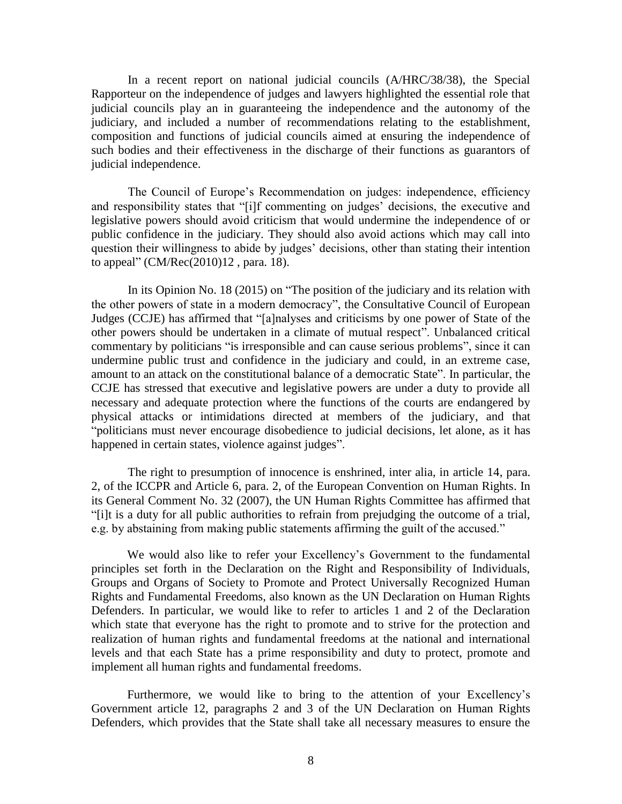In a recent report on national judicial councils (A/HRC/38/38), the Special Rapporteur on the independence of judges and lawyers highlighted the essential role that judicial councils play an in guaranteeing the independence and the autonomy of the judiciary, and included a number of recommendations relating to the establishment, composition and functions of judicial councils aimed at ensuring the independence of such bodies and their effectiveness in the discharge of their functions as guarantors of judicial independence.

The Council of Europe's Recommendation on judges: independence, efficiency and responsibility states that "[i]f commenting on judges' decisions, the executive and legislative powers should avoid criticism that would undermine the independence of or public confidence in the judiciary. They should also avoid actions which may call into question their willingness to abide by judges' decisions, other than stating their intention to appeal" (CM/Rec(2010)12 , para. 18).

In its Opinion No. 18 (2015) on "The position of the judiciary and its relation with the other powers of state in a modern democracy", the Consultative Council of European Judges (CCJE) has affirmed that "[a]nalyses and criticisms by one power of State of the other powers should be undertaken in a climate of mutual respect". Unbalanced critical commentary by politicians "is irresponsible and can cause serious problems", since it can undermine public trust and confidence in the judiciary and could, in an extreme case, amount to an attack on the constitutional balance of a democratic State". In particular, the CCJE has stressed that executive and legislative powers are under a duty to provide all necessary and adequate protection where the functions of the courts are endangered by physical attacks or intimidations directed at members of the judiciary, and that "politicians must never encourage disobedience to judicial decisions, let alone, as it has happened in certain states, violence against judges".

The right to presumption of innocence is enshrined, inter alia, in article 14, para. 2, of the ICCPR and Article 6, para. 2, of the European Convention on Human Rights. In its General Comment No. 32 (2007), the UN Human Rights Committee has affirmed that "[i]t is a duty for all public authorities to refrain from prejudging the outcome of a trial, e.g. by abstaining from making public statements affirming the guilt of the accused."

We would also like to refer your Excellency's Government to the fundamental principles set forth in the Declaration on the Right and Responsibility of Individuals, Groups and Organs of Society to Promote and Protect Universally Recognized Human Rights and Fundamental Freedoms, also known as the UN Declaration on Human Rights Defenders. In particular, we would like to refer to articles 1 and 2 of the Declaration which state that everyone has the right to promote and to strive for the protection and realization of human rights and fundamental freedoms at the national and international levels and that each State has a prime responsibility and duty to protect, promote and implement all human rights and fundamental freedoms.

Furthermore, we would like to bring to the attention of your Excellency's Government article 12, paragraphs 2 and 3 of the UN Declaration on Human Rights Defenders, which provides that the State shall take all necessary measures to ensure the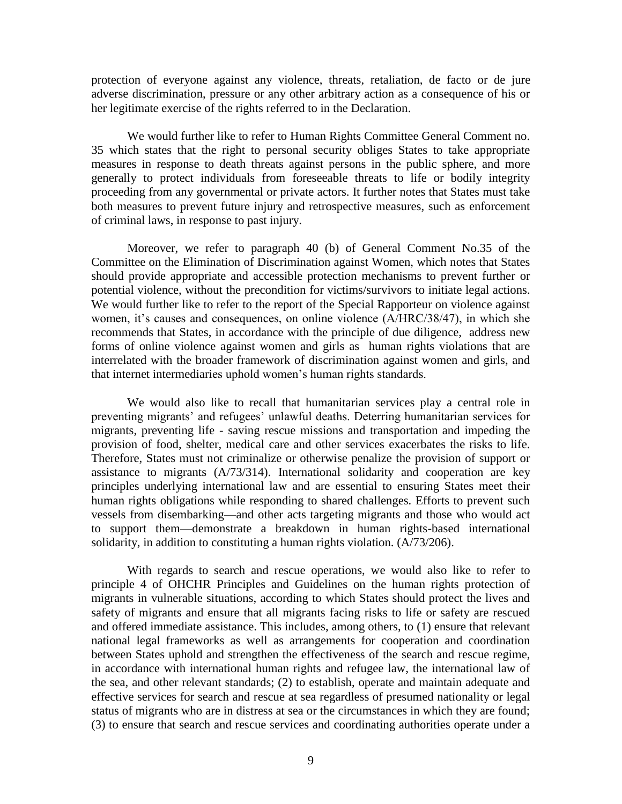protection of everyone against any violence, threats, retaliation, de facto or de jure adverse discrimination, pressure or any other arbitrary action as a consequence of his or her legitimate exercise of the rights referred to in the Declaration.

We would further like to refer to Human Rights Committee General Comment no. 35 which states that the right to personal security obliges States to take appropriate measures in response to death threats against persons in the public sphere, and more generally to protect individuals from foreseeable threats to life or bodily integrity proceeding from any governmental or private actors. It further notes that States must take both measures to prevent future injury and retrospective measures, such as enforcement of criminal laws, in response to past injury.

Moreover, we refer to paragraph 40 (b) of General Comment No.35 of the Committee on the Elimination of Discrimination against Women, which notes that States should provide appropriate and accessible protection mechanisms to prevent further or potential violence, without the precondition for victims/survivors to initiate legal actions. We would further like to refer to the report of the Special Rapporteur on violence against women, it's causes and consequences, on online violence (A/HRC/38/47), in which she recommends that States, in accordance with the principle of due diligence, address new forms of online violence against women and girls as human rights violations that are interrelated with the broader framework of discrimination against women and girls, and that internet intermediaries uphold women's human rights standards.

We would also like to recall that humanitarian services play a central role in preventing migrants' and refugees' unlawful deaths. Deterring humanitarian services for migrants, preventing life - saving rescue missions and transportation and impeding the provision of food, shelter, medical care and other services exacerbates the risks to life. Therefore, States must not criminalize or otherwise penalize the provision of support or assistance to migrants (A/73/314). International solidarity and cooperation are key principles underlying international law and are essential to ensuring States meet their human rights obligations while responding to shared challenges. Efforts to prevent such vessels from disembarking—and other acts targeting migrants and those who would act to support them—demonstrate a breakdown in human rights-based international solidarity, in addition to constituting a human rights violation. (A/73/206).

With regards to search and rescue operations, we would also like to refer to principle 4 of OHCHR Principles and Guidelines on the human rights protection of migrants in vulnerable situations, according to which States should protect the lives and safety of migrants and ensure that all migrants facing risks to life or safety are rescued and offered immediate assistance. This includes, among others, to (1) ensure that relevant national legal frameworks as well as arrangements for cooperation and coordination between States uphold and strengthen the effectiveness of the search and rescue regime, in accordance with international human rights and refugee law, the international law of the sea, and other relevant standards; (2) to establish, operate and maintain adequate and effective services for search and rescue at sea regardless of presumed nationality or legal status of migrants who are in distress at sea or the circumstances in which they are found; (3) to ensure that search and rescue services and coordinating authorities operate under a